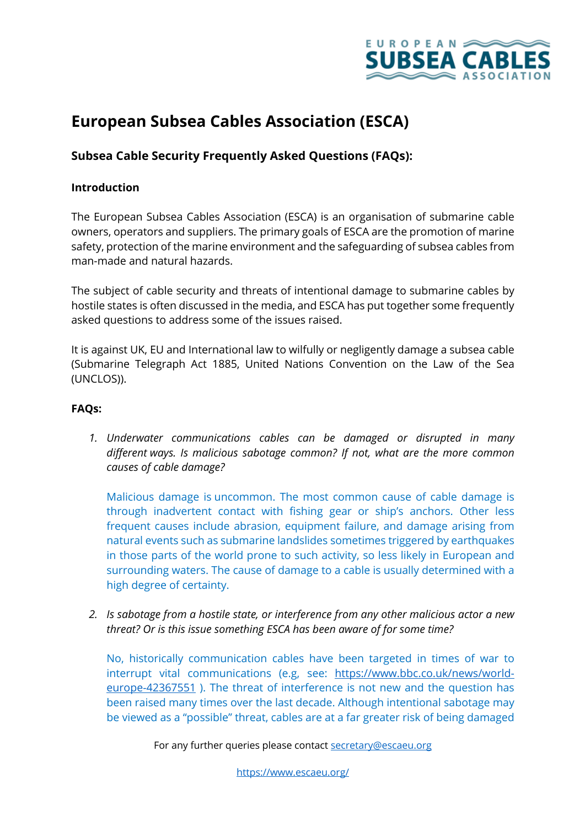

# **European Subsea Cables Association (ESCA)**

## **Subsea Cable Security Frequently Asked Questions (FAQs):**

#### **Introduction**

The European Subsea Cables Association (ESCA) is an organisation of submarine cable owners, operators and suppliers. The primary goals of ESCA are the promotion of marine safety, protection of the marine environment and the safeguarding of subsea cables from man-made and natural hazards.

The subject of cable security and threats of intentional damage to submarine cables by hostile states is often discussed in the media, and ESCA has put together some frequently asked questions to address some of the issues raised.

It is against UK, EU and International law to wilfully or negligently damage a subsea cable (Submarine Telegraph Act 1885, United Nations Convention on the Law of the Sea (UNCLOS)).

### **FAQs:**

*1. Underwater communications cables can be damaged or disrupted in many different ways. Is malicious sabotage common? If not, what are the more common causes of cable damage?*

Malicious damage is uncommon. The most common cause of cable damage is through inadvertent contact with fishing gear or ship's anchors. Other less frequent causes include abrasion, equipment failure, and damage arising from natural events such as submarine landslides sometimes triggered by earthquakes in those parts of the world prone to such activity, so less likely in European and surrounding waters. The cause of damage to a cable is usually determined with a high degree of certainty.

*2. Is sabotage from a hostile state, or interference from any other malicious actor a new threat? Or is this issue something ESCA has been aware of for some time?*

No, historically communication cables have been targeted in times of war to interrupt vital communications (e.g, see: https://www.bbc.co.uk/news/worldeurope-42367551 ). The threat of interference is not new and the question has been raised many times over the last decade. Although intentional sabotage may be viewed as a "possible" threat, cables are at a far greater risk of being damaged

For any further queries please contact secretary@escaeu.org